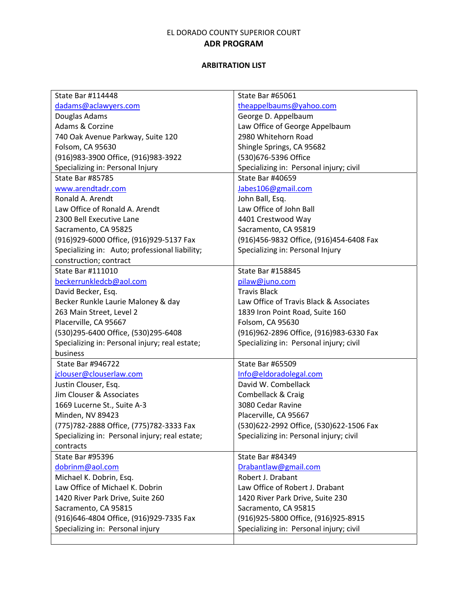| State Bar #114448                              | State Bar #65061                        |
|------------------------------------------------|-----------------------------------------|
| dadams@aclawyers.com                           | theappelbaums@yahoo.com                 |
| Douglas Adams                                  | George D. Appelbaum                     |
| Adams & Corzine                                | Law Office of George Appelbaum          |
| 740 Oak Avenue Parkway, Suite 120              | 2980 Whitehorn Road                     |
| Folsom, CA 95630                               | Shingle Springs, CA 95682               |
| (916) 983-3900 Office, (916) 983-3922          | (530)676-5396 Office                    |
| Specializing in: Personal Injury               | Specializing in: Personal injury; civil |
| <b>State Bar #85785</b>                        | <b>State Bar #40659</b>                 |
| www.arendtadr.com                              | Jabes106@gmail.com                      |
| Ronald A. Arendt                               | John Ball, Esq.                         |
| Law Office of Ronald A. Arendt                 | Law Office of John Ball                 |
| 2300 Bell Executive Lane                       | 4401 Crestwood Way                      |
| Sacramento, CA 95825                           | Sacramento, CA 95819                    |
| (916)929-6000 Office, (916)929-5137 Fax        | (916)456-9832 Office, (916)454-6408 Fax |
| Specializing in: Auto; professional liability; | Specializing in: Personal Injury        |
| construction; contract                         |                                         |
| <b>State Bar #111010</b>                       | State Bar #158845                       |
| beckerrunkledcb@aol.com                        | pilaw@juno.com                          |
| David Becker, Esq.                             | <b>Travis Black</b>                     |
| Becker Runkle Laurie Maloney & day             | Law Office of Travis Black & Associates |
| 263 Main Street, Level 2                       | 1839 Iron Point Road, Suite 160         |
| Placerville, CA 95667                          | Folsom, CA 95630                        |
| (530)295-6400 Office, (530)295-6408            | (916)962-2896 Office, (916)983-6330 Fax |
| Specializing in: Personal injury; real estate; | Specializing in: Personal injury; civil |
| business                                       |                                         |
| State Bar #946722                              | <b>State Bar #65509</b>                 |
| jclouser@clouserlaw.com                        | Info@eldoradolegal.com                  |
| Justin Clouser, Esq.                           | David W. Combellack                     |
| Jim Clouser & Associates                       | Combellack & Craig                      |
| 1669 Lucerne St., Suite A-3                    | 3080 Cedar Ravine                       |
| Minden, NV 89423                               | Placerville, CA 95667                   |
| (775) 782-2888 Office, (775) 782-3333 Fax      | (530)622-2992 Office, (530)622-1506 Fax |
| Specializing in: Personal injury; real estate; | Specializing in: Personal injury; civil |
| contracts                                      |                                         |
| <b>State Bar #95396</b>                        | State Bar #84349                        |
| dobrinm@aol.com                                | Drabantlaw@gmail.com                    |
| Michael K. Dobrin, Esq.                        | Robert J. Drabant                       |
| Law Office of Michael K. Dobrin                | Law Office of Robert J. Drabant         |
| 1420 River Park Drive, Suite 260               | 1420 River Park Drive, Suite 230        |
| Sacramento, CA 95815                           | Sacramento, CA 95815                    |
| (916)646-4804 Office, (916)929-7335 Fax        | (916) 925-5800 Office, (916) 925-8915   |
| Specializing in: Personal injury               | Specializing in: Personal injury; civil |
|                                                |                                         |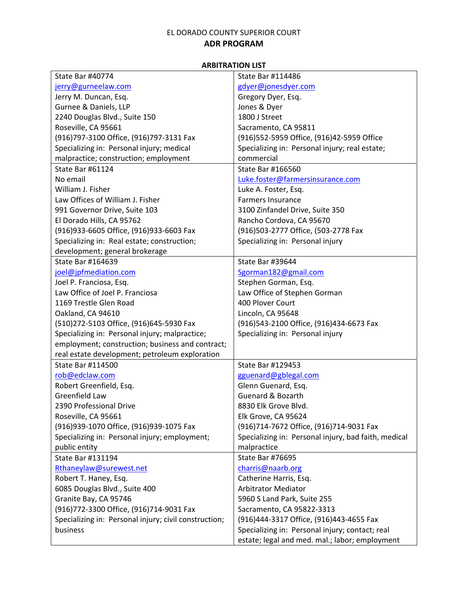| <b>State Bar #40774</b>                               | State Bar #114486                                    |
|-------------------------------------------------------|------------------------------------------------------|
| jerry@gurneelaw.com                                   | gdyer@jonesdyer.com                                  |
| Jerry M. Duncan, Esq.                                 | Gregory Dyer, Esq.                                   |
| Gurnee & Daniels, LLP                                 | Jones & Dyer                                         |
| 2240 Douglas Blvd., Suite 150                         | 1800 J Street                                        |
| Roseville, CA 95661                                   | Sacramento, CA 95811                                 |
| (916)797-3100 Office, (916)797-3131 Fax               | (916) 552-5959 Office, (916) 42-5959 Office          |
| Specializing in: Personal injury; medical             | Specializing in: Personal injury; real estate;       |
| malpractice; construction; employment                 | commercial                                           |
| State Bar #61124                                      | State Bar #166560                                    |
| No email                                              | Luke.foster@farmersinsurance.com                     |
| William J. Fisher                                     | Luke A. Foster, Esq.                                 |
| Law Offices of William J. Fisher                      | <b>Farmers Insurance</b>                             |
| 991 Governor Drive, Suite 103                         | 3100 Zinfandel Drive, Suite 350                      |
| El Dorado Hills, CA 95762                             | Rancho Cordova, CA 95670                             |
| (916) 933-6605 Office, (916) 933-6603 Fax             | (916)503-2777 Office, (503-2778 Fax                  |
| Specializing in: Real estate; construction;           | Specializing in: Personal injury                     |
| development; general brokerage                        |                                                      |
| State Bar #164639                                     | State Bar #39644                                     |
| joel@jpfmediation.com                                 | Sgorman182@gmail.com                                 |
| Joel P. Franciosa, Esq.                               | Stephen Gorman, Esq.                                 |
| Law Office of Joel P. Franciosa                       | Law Office of Stephen Gorman                         |
| 1169 Trestle Glen Road                                | 400 Plover Court                                     |
| Oakland, CA 94610                                     | Lincoln, CA 95648                                    |
|                                                       |                                                      |
| (510)272-5103 Office, (916)645-5930 Fax               | (916)543-2100 Office, (916)434-6673 Fax              |
| Specializing in: Personal injury; malpractice;        | Specializing in: Personal injury                     |
| employment; construction; business and contract;      |                                                      |
| real estate development; petroleum exploration        |                                                      |
| State Bar #114500                                     | State Bar #129453                                    |
| rob@edclaw.com                                        | gguenard@gblegal.com                                 |
| Robert Greenfield, Esq.                               | Glenn Guenard, Esq.                                  |
| Greenfield Law                                        | Guenard & Bozarth                                    |
| 2390 Professional Drive                               | 8830 Elk Grove Blvd.                                 |
| Roseville, CA 95661                                   | Elk Grove, CA 95624                                  |
| (916) 939-1070 Office, (916) 939-1075 Fax             | (916)714-7672 Office, (916)714-9031 Fax              |
| Specializing in: Personal injury; employment;         | Specializing in: Personal injury, bad faith, medical |
| public entity                                         | malpractice                                          |
| State Bar #131194                                     | State Bar #76695                                     |
| Rthaneylaw@surewest.net                               | charris@naarb.org                                    |
| Robert T. Haney, Esq.                                 | Catherine Harris, Esq.                               |
| 6085 Douglas Blvd., Suite 400                         | <b>Arbitrator Mediator</b>                           |
| Granite Bay, CA 95746                                 | 5960 S Land Park, Suite 255                          |
| (916) 772-3300 Office, (916) 714-9031 Fax             | Sacramento, CA 95822-3313                            |
| Specializing in: Personal injury; civil construction; | (916)444-3317 Office, (916)443-4655 Fax              |
| business                                              | Specializing in: Personal injury; contact; real      |
|                                                       | estate; legal and med. mal.; labor; employment       |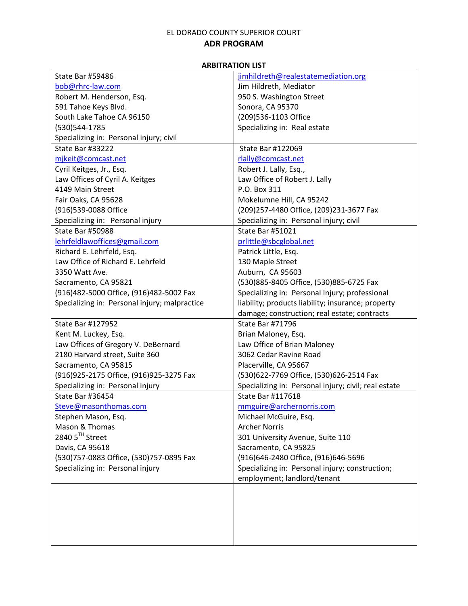| <b>State Bar #59486</b>                       | jimhildreth@realestatemediation.org                  |
|-----------------------------------------------|------------------------------------------------------|
| bob@rhrc-law.com                              | Jim Hildreth, Mediator                               |
| Robert M. Henderson, Esq.                     | 950 S. Washington Street                             |
| 591 Tahoe Keys Blvd.                          | Sonora, CA 95370                                     |
| South Lake Tahoe CA 96150                     | (209)536-1103 Office                                 |
| (530) 544-1785                                | Specializing in: Real estate                         |
| Specializing in: Personal injury; civil       |                                                      |
| State Bar #33222                              | State Bar #122069                                    |
| mjkeit@comcast.net                            | rlally@comcast.net                                   |
| Cyril Keitges, Jr., Esq.                      | Robert J. Lally, Esq.,                               |
| Law Offices of Cyril A. Keitges               | Law Office of Robert J. Lally                        |
| 4149 Main Street                              | P.O. Box 311                                         |
| Fair Oaks, CA 95628                           | Mokelumne Hill, CA 95242                             |
| (916)539-0088 Office                          | (209)257-4480 Office, (209)231-3677 Fax              |
| Specializing in: Personal injury              | Specializing in: Personal injury; civil              |
| State Bar #50988                              | State Bar #51021                                     |
| lehrfeldlawoffices@gmail.com                  | prlittle@sbcglobal.net                               |
| Richard E. Lehrfeld, Esq.                     | Patrick Little, Esq.                                 |
| Law Office of Richard E. Lehrfeld             | 130 Maple Street                                     |
| 3350 Watt Ave.                                | Auburn, CA 95603                                     |
| Sacramento, CA 95821                          | (530)885-8405 Office, (530)885-6725 Fax              |
| (916)482-5000 Office, (916)482-5002 Fax       | Specializing in: Personal Injury; professional       |
| Specializing in: Personal injury; malpractice | liability; products liability; insurance; property   |
|                                               | damage; construction; real estate; contracts         |
| State Bar #127952                             | <b>State Bar #71796</b>                              |
| Kent M. Luckey, Esq.                          | Brian Maloney, Esq.                                  |
| Law Offices of Gregory V. DeBernard           | Law Office of Brian Maloney                          |
| 2180 Harvard street, Suite 360                | 3062 Cedar Ravine Road                               |
| Sacramento, CA 95815                          | Placerville, CA 95667                                |
| (916) 925-2175 Office, (916) 925-3275 Fax     | (530)622-7769 Office, (530)626-2514 Fax              |
| Specializing in: Personal injury              | Specializing in: Personal injury; civil; real estate |
| <b>State Bar #36454</b>                       | <b>State Bar #117618</b>                             |
| Steve@masonthomas.com                         | mmguire@archernorris.com                             |
| Stephen Mason, Esq.                           | Michael McGuire, Esq.                                |
| Mason & Thomas                                | <b>Archer Norris</b>                                 |
| 2840 5TH Street                               | 301 University Avenue, Suite 110                     |
| Davis, CA 95618                               | Sacramento, CA 95825                                 |
| (530)757-0883 Office, (530)757-0895 Fax       | (916)646-2480 Office, (916)646-5696                  |
| Specializing in: Personal injury              | Specializing in: Personal injury; construction;      |
|                                               | employment; landlord/tenant                          |
|                                               |                                                      |
|                                               |                                                      |
|                                               |                                                      |
|                                               |                                                      |
|                                               |                                                      |
|                                               |                                                      |
|                                               |                                                      |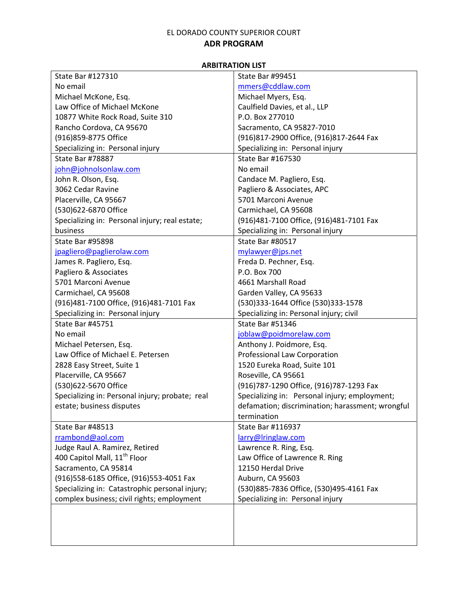| State Bar #127310                               | <b>State Bar #99451</b>                          |
|-------------------------------------------------|--------------------------------------------------|
| No email                                        | mmers@cddlaw.com                                 |
| Michael McKone, Esq.                            | Michael Myers, Esq.                              |
| Law Office of Michael McKone                    | Caulfield Davies, et al., LLP                    |
| 10877 White Rock Road, Suite 310                | P.O. Box 277010                                  |
| Rancho Cordova, CA 95670                        | Sacramento, CA 95827-7010                        |
| (916) 859-8775 Office                           | (916)817-2900 Office, (916)817-2644 Fax          |
| Specializing in: Personal injury                | Specializing in: Personal injury                 |
| State Bar #78887                                | State Bar #167530                                |
| john@johnolsonlaw.com                           | No email                                         |
| John R. Olson, Esq.                             | Candace M. Pagliero, Esq.                        |
| 3062 Cedar Ravine                               | Pagliero & Associates, APC                       |
| Placerville, CA 95667                           | 5701 Marconi Avenue                              |
| (530)622-6870 Office                            | Carmichael, CA 95608                             |
| Specializing in: Personal injury; real estate;  | (916)481-7100 Office, (916)481-7101 Fax          |
| business                                        | Specializing in: Personal injury                 |
| <b>State Bar #95898</b>                         | State Bar #80517                                 |
| jpagliero@paglierolaw.com                       | mylawyer@jps.net                                 |
| James R. Pagliero, Esq.                         | Freda D. Pechner, Esq.                           |
| Pagliero & Associates                           | P.O. Box 700                                     |
| 5701 Marconi Avenue                             | 4661 Marshall Road                               |
| Carmichael, CA 95608                            | Garden Valley, CA 95633                          |
| (916)481-7100 Office, (916)481-7101 Fax         | (530)333-1644 Office (530)333-1578               |
| Specializing in: Personal injury                | Specializing in: Personal injury; civil          |
| <b>State Bar #45751</b>                         | State Bar #51346                                 |
| No email                                        | joblaw@poidmorelaw.com                           |
| Michael Petersen, Esq.                          | Anthony J. Poidmore, Esq.                        |
| Law Office of Michael E. Petersen               | Professional Law Corporation                     |
| 2828 Easy Street, Suite 1                       | 1520 Eureka Road, Suite 101                      |
| Placerville, CA 95667                           | Roseville, CA 95661                              |
| (530)622-5670 Office                            | (916)787-1290 Office, (916)787-1293 Fax          |
| Specializing in: Personal injury; probate; real | Specializing in: Personal injury; employment;    |
| estate; business disputes                       | defamation; discrimination; harassment; wrongful |
|                                                 | termination                                      |
| <b>State Bar #48513</b>                         | State Bar #116937                                |
| rrambond@aol.com                                | larry@Iringlaw.com                               |
| Judge Raul A. Ramirez, Retired                  | Lawrence R. Ring, Esq.                           |
| 400 Capitol Mall, 11 <sup>th</sup> Floor        | Law Office of Lawrence R. Ring                   |
| Sacramento, CA 95814                            | 12150 Herdal Drive                               |
| (916)558-6185 Office, (916)553-4051 Fax         | Auburn, CA 95603                                 |
| Specializing in: Catastrophic personal injury;  | (530)885-7836 Office, (530)495-4161 Fax          |
| complex business; civil rights; employment      | Specializing in: Personal injury                 |
|                                                 |                                                  |
|                                                 |                                                  |
|                                                 |                                                  |
|                                                 |                                                  |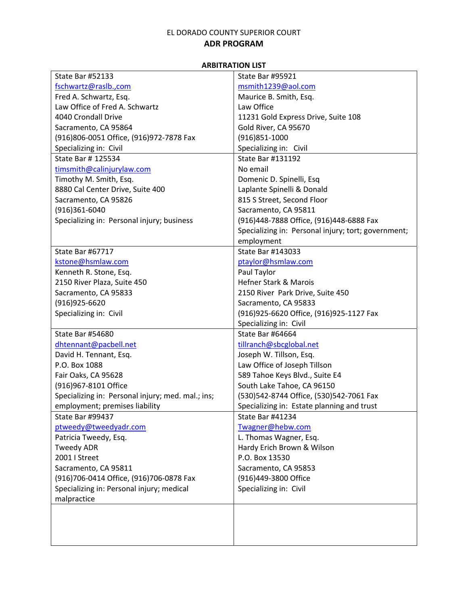| <b>State Bar #52133</b>                           | <b>State Bar #95921</b>                             |
|---------------------------------------------------|-----------------------------------------------------|
| fschwartz@raslb.,com                              | msmith1239@aol.com                                  |
| Fred A. Schwartz, Esq.                            | Maurice B. Smith, Esq.                              |
| Law Office of Fred A. Schwartz                    | Law Office                                          |
| 4040 Crondall Drive                               | 11231 Gold Express Drive, Suite 108                 |
| Sacramento, CA 95864                              | Gold River, CA 95670                                |
| (916)806-0051 Office, (916)972-7878 Fax           | $(916)851-1000$                                     |
| Specializing in: Civil                            | Specializing in: Civil                              |
| State Bar # 125534                                | State Bar #131192                                   |
| timsmith@calinjurylaw.com                         | No email                                            |
| Timothy M. Smith, Esq.                            | Domenic D. Spinelli, Esq                            |
| 8880 Cal Center Drive, Suite 400                  | Laplante Spinelli & Donald                          |
| Sacramento, CA 95826                              | 815 S Street, Second Floor                          |
| $(916)361-6040$                                   | Sacramento, CA 95811                                |
| Specializing in: Personal injury; business        | (916)448-7888 Office, (916)448-6888 Fax             |
|                                                   | Specializing in: Personal injury; tort; government; |
|                                                   | employment                                          |
| <b>State Bar #67717</b>                           | State Bar #143033                                   |
| kstone@hsmlaw.com                                 | ptaylor@hsmlaw.com                                  |
| Kenneth R. Stone, Esq.                            | Paul Taylor                                         |
| 2150 River Plaza, Suite 450                       | Hefner Stark & Marois                               |
| Sacramento, CA 95833                              | 2150 River Park Drive, Suite 450                    |
| $(916)925 - 6620$                                 | Sacramento, CA 95833                                |
| Specializing in: Civil                            | (916) 925-6620 Office, (916) 925-1127 Fax           |
|                                                   | Specializing in: Civil                              |
| State Bar #54680                                  | State Bar #64664                                    |
| dhtennant@pacbell.net                             | tillranch@sbcglobal.net                             |
| David H. Tennant, Esq.                            | Joseph W. Tillson, Esq.                             |
| P.O. Box 1088                                     | Law Office of Joseph Tillson                        |
| Fair Oaks, CA 95628                               | 589 Tahoe Keys Blvd., Suite E4                      |
| (916)967-8101 Office                              | South Lake Tahoe, CA 96150                          |
| Specializing in: Personal injury; med. mal.; ins; | (530)542-8744 Office, (530)542-7061 Fax             |
| employment; premises liability                    | Specializing in: Estate planning and trust          |
| State Bar #99437                                  | State Bar #41234                                    |
| ptweedy@tweedyadr.com                             | Twagner@hebw.com                                    |
| Patricia Tweedy, Esq.                             | L. Thomas Wagner, Esq.                              |
| <b>Tweedy ADR</b>                                 | Hardy Erich Brown & Wilson                          |
| 2001   Street                                     | P.O. Box 13530                                      |
| Sacramento, CA 95811                              | Sacramento, CA 95853                                |
| (916)706-0414 Office, (916)706-0878 Fax           | (916)449-3800 Office                                |
| Specializing in: Personal injury; medical         | Specializing in: Civil                              |
| malpractice                                       |                                                     |
|                                                   |                                                     |
|                                                   |                                                     |
|                                                   |                                                     |
|                                                   |                                                     |
|                                                   |                                                     |